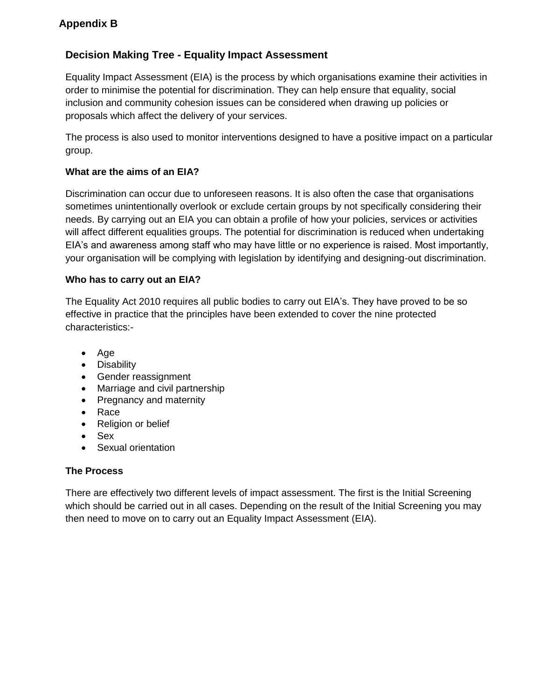# **Decision Making Tree - Equality Impact Assessment**

Equality Impact Assessment (EIA) is the process by which organisations examine their activities in order to minimise the potential for discrimination. They can help ensure that equality, social inclusion and community cohesion issues can be considered when drawing up policies or proposals which affect the delivery of your services.

The process is also used to monitor interventions designed to have a positive impact on a particular group.

## **What are the aims of an EIA?**

Discrimination can occur due to unforeseen reasons. It is also often the case that organisations sometimes unintentionally overlook or exclude certain groups by not specifically considering their needs. By carrying out an EIA you can obtain a profile of how your policies, services or activities will affect different equalities groups. The potential for discrimination is reduced when undertaking EIA's and awareness among staff who may have little or no experience is raised. Most importantly, your organisation will be complying with legislation by identifying and designing-out discrimination.

## **Who has to carry out an EIA?**

The Equality Act 2010 requires all public bodies to carry out EIA's. They have proved to be so effective in practice that the principles have been extended to cover the nine protected characteristics:-

- Age
- Disability
- Gender reassignment
- Marriage and civil partnership
- Pregnancy and maternity
- Race
- Religion or belief
- Sex
- Sexual orientation

## **The Process**

There are effectively two different levels of impact assessment. The first is the Initial Screening which should be carried out in all cases. Depending on the result of the Initial Screening you may then need to move on to carry out an Equality Impact Assessment (EIA).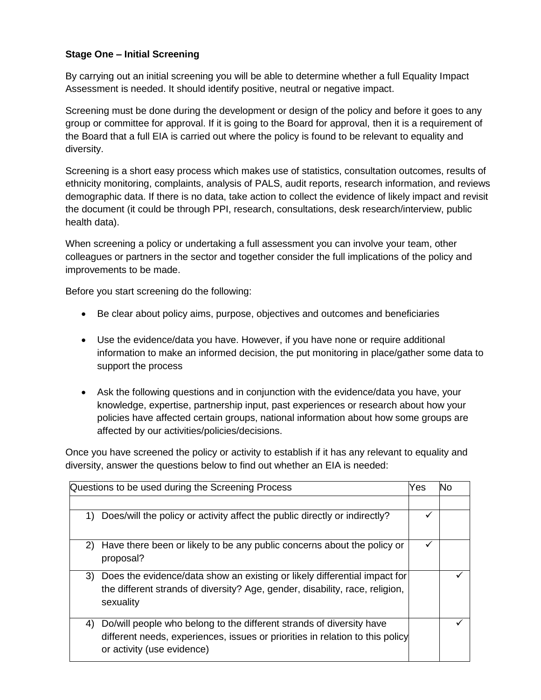## **Stage One – Initial Screening**

By carrying out an initial screening you will be able to determine whether a full Equality Impact Assessment is needed. It should identify positive, neutral or negative impact.

Screening must be done during the development or design of the policy and before it goes to any group or committee for approval. If it is going to the Board for approval, then it is a requirement of the Board that a full EIA is carried out where the policy is found to be relevant to equality and diversity.

Screening is a short easy process which makes use of statistics, consultation outcomes, results of ethnicity monitoring, complaints, analysis of PALS, audit reports, research information, and reviews demographic data. If there is no data, take action to collect the evidence of likely impact and revisit the document (it could be through PPI, research, consultations, desk research/interview, public health data).

When screening a policy or undertaking a full assessment you can involve your team, other colleagues or partners in the sector and together consider the full implications of the policy and improvements to be made.

Before you start screening do the following:

- Be clear about policy aims, purpose, objectives and outcomes and beneficiaries
- Use the evidence/data you have. However, if you have none or require additional information to make an informed decision, the put monitoring in place/gather some data to support the process
- Ask the following questions and in conjunction with the evidence/data you have, your knowledge, expertise, partnership input, past experiences or research about how your policies have affected certain groups, national information about how some groups are affected by our activities/policies/decisions.

Once you have screened the policy or activity to establish if it has any relevant to equality and diversity, answer the questions below to find out whether an EIA is needed:

| Questions to be used during the Screening Process |                                                                                                                                                                                     | Yes | No |
|---------------------------------------------------|-------------------------------------------------------------------------------------------------------------------------------------------------------------------------------------|-----|----|
| 1)                                                | Does/will the policy or activity affect the public directly or indirectly?                                                                                                          | ✓   |    |
|                                                   |                                                                                                                                                                                     |     |    |
| 2)                                                | Have there been or likely to be any public concerns about the policy or<br>proposal?                                                                                                | ✔   |    |
| 3)                                                | Does the evidence/data show an existing or likely differential impact for<br>the different strands of diversity? Age, gender, disability, race, religion,<br>sexuality              |     |    |
| 4)                                                | Do/will people who belong to the different strands of diversity have<br>different needs, experiences, issues or priorities in relation to this policy<br>or activity (use evidence) |     |    |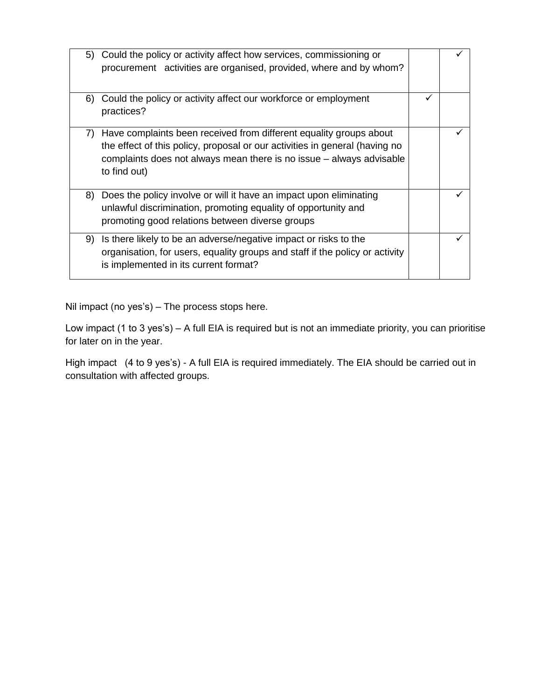|    | 5) Could the policy or activity affect how services, commissioning or<br>procurement activities are organised, provided, where and by whom?                                                                                               |  |
|----|-------------------------------------------------------------------------------------------------------------------------------------------------------------------------------------------------------------------------------------------|--|
| 6) | Could the policy or activity affect our workforce or employment<br>practices?                                                                                                                                                             |  |
| 7) | Have complaints been received from different equality groups about<br>the effect of this policy, proposal or our activities in general (having no<br>complaints does not always mean there is no issue – always advisable<br>to find out) |  |
|    | 8) Does the policy involve or will it have an impact upon eliminating<br>unlawful discrimination, promoting equality of opportunity and<br>promoting good relations between diverse groups                                                |  |
|    | 9) Is there likely to be an adverse/negative impact or risks to the<br>organisation, for users, equality groups and staff if the policy or activity<br>is implemented in its current format?                                              |  |

Nil impact (no yes's) – The process stops here.

Low impact (1 to 3 yes's) – A full EIA is required but is not an immediate priority, you can prioritise for later on in the year.

High impact (4 to 9 yes's) - A full EIA is required immediately. The EIA should be carried out in consultation with affected groups.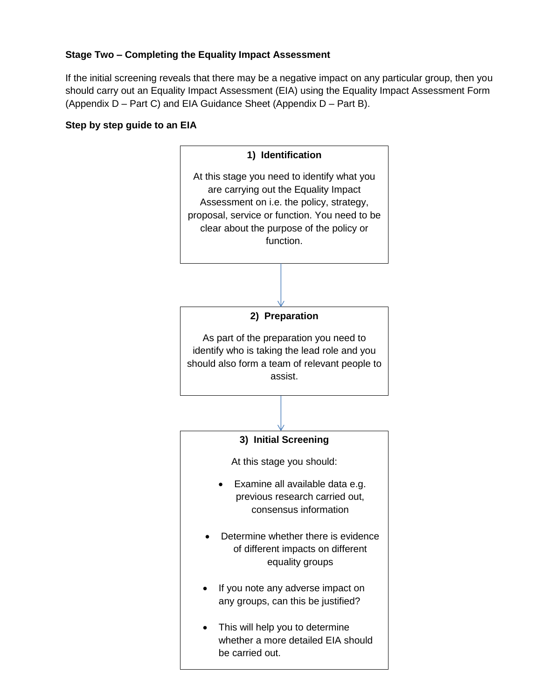## **Stage Two – Completing the Equality Impact Assessment**

If the initial screening reveals that there may be a negative impact on any particular group, then you should carry out an Equality Impact Assessment (EIA) using the Equality Impact Assessment Form (Appendix D – Part C) and EIA Guidance Sheet (Appendix D – Part B).

### **Step by step guide to an EIA**

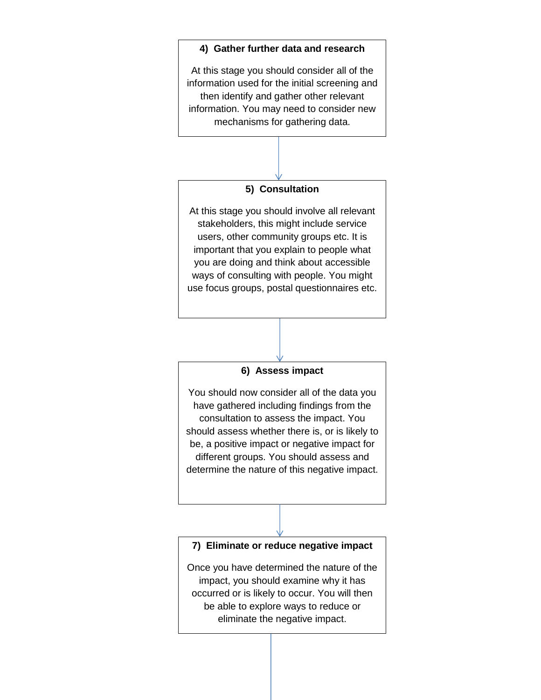### **4) Gather further data and research**

At this stage you should consider all of the information used for the initial screening and then identify and gather other relevant information. You may need to consider new mechanisms for gathering data.

### **5) Consultation**

At this stage you should involve all relevant stakeholders, this might include service users, other community groups etc. It is important that you explain to people what you are doing and think about accessible ways of consulting with people. You might use focus groups, postal questionnaires etc.

#### **6) Assess impact**

You should now consider all of the data you have gathered including findings from the consultation to assess the impact. You should assess whether there is, or is likely to be, a positive impact or negative impact for different groups. You should assess and determine the nature of this negative impact.

### **7) Eliminate or reduce negative impact**

Once you have determined the nature of the impact, you should examine why it has occurred or is likely to occur. You will then be able to explore ways to reduce or eliminate the negative impact.